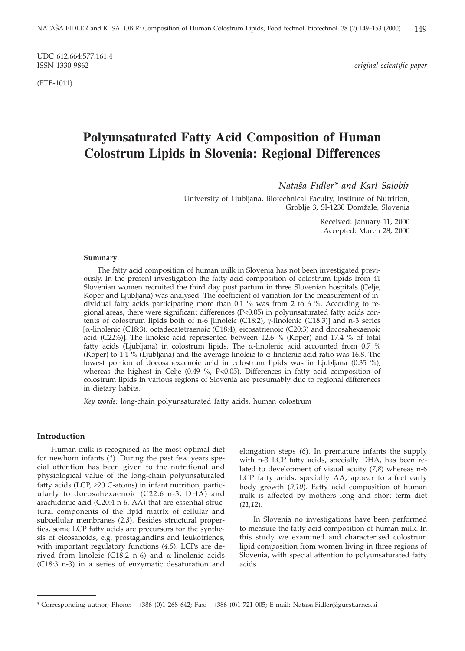UDC 612.664:577.161.4

(FTB-1011)

 $original$  scientific paper

# **Polyunsaturated Fatty Acid Composition of Human Colostrum Lipids in Slovenia: Regional Differences**

*Nata{a Fidler\* and Karl Salobir*

University of Ljubljana, Biotechnical Faculty, Institute of Nutrition, Groblje 3, SI-1230 Domžale, Slovenia

> Received: January 11, 2000 Accepted: March 28, 2000

## **Summary**

The fatty acid composition of human milk in Slovenia has not been investigated previously. In the present investigation the fatty acid composition of colostrum lipids from 41 Slovenian women recruited the third day post partum in three Slovenian hospitals (Celje, Koper and Ljubljana) was analysed. The coefficient of variation for the measurement of individual fatty acids participating more than 0.1 % was from 2 to 6 %. According to regional areas, there were significant differences (P<0.05) in polyunsaturated fatty acids contents of colostrum lipids both of n-6 [linoleic (C18:2),  $\gamma$ -linolenic (C18:3)] and n-3 series -linolenic (C18:3), octadecatetraenoic (C18:4), eicosatrienoic (C20:3) and docosahexaenoic acid (C22:6). The linoleic acid represented between 12.6 % (Koper) and 17.4 % of total fatty acids (Ljubljana) in colostrum lipids. The  $\alpha$ -linolenic acid accounted from 0.7 % (Koper) to 1.1 % (Ljubljana) and the average linoleic to  $\alpha$ -linolenic acid ratio was 16.8. The lowest portion of docosahexaenoic acid in colostrum lipids was in Ljubljana (0.35 %), whereas the highest in Celje (0.49 %, P<0.05). Differences in fatty acid composition of colostrum lipids in various regions of Slovenia are presumably due to regional differences in dietary habits.

*Key words:* long-chain polyunsaturated fatty acids, human colostrum

## **Introduction**

Human milk is recognised as the most optimal diet for newborn infants (*1*). During the past few years special attention has been given to the nutritional and physiological value of the long-chain polyunsaturated fatty acids (LCP,  $\geq$ 20 C-atoms) in infant nutrition, particularly to docosahexaenoic (C22:6 n-3, DHA) and arachidonic acid (C20:4 n-6, AA) that are essential structural components of the lipid matrix of cellular and subcellular membranes (*2,3*). Besides structural properties, some LCP fatty acids are precursors for the synthesis of eicosanoids, e.g. prostaglandins and leukotrienes, with important regulatory functions (*4,5*). LCPs are derived from linoleic (C18:2 n-6) and  $\alpha$ -linolenic acids (C18:3 n-3) in a series of enzymatic desaturation and

elongation steps (*6*). In premature infants the supply with n-3 LCP fatty acids, specially DHA, has been related to development of visual acuity (*7,8*) whereas n-6 LCP fatty acids, specially AA, appear to affect early body growth (*9,10*). Fatty acid composition of human milk is affected by mothers long and short term diet (*11,12*).

In Slovenia no investigations have been performed to measure the fatty acid composition of human milk. In this study we examined and characterised colostrum lipid composition from women living in three regions of Slovenia, with special attention to polyunsaturated fatty acids.

<sup>\*</sup> Corresponding author; Phone: ++386 (0)1 268 642; Fax: ++386 (0)1 721 005; E-mail: Natasa.Fidler*@*guest.arnes.si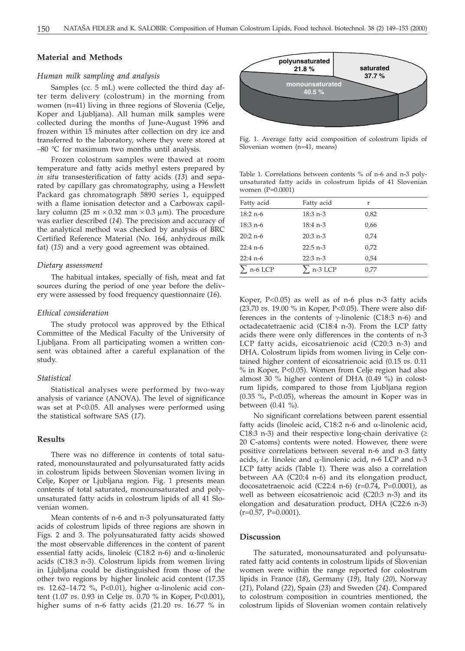## **Material and Methods**

## *Human milk sampling and analysis*

Samples (cc. 5 mL) were collected the third day after term delivery (colostrum) in the morning from women (n=41) living in three regions of Slovenia (Celje, Koper and Ljubljana). All human milk samples were collected during the months of June-August 1996 and frozen within 15 minutes after collection on dry ice and transferred to the laboratory, where they were stored at –80 °C for maximum two months until analysis.

Frozen colostrum samples were thawed at room temperature and fatty acids methyl esters prepared by *in situ* transesterification of fatty acids (*13*) and separated by capillary gas chromatography, using a Hewlett Packard gas chromatograph 5890 series 1, equipped with a flame ionisation detector and a Carbowax capillary column (25 m  $\times$  0.32 mm  $\times$  0.3 µm). The procedure was earlier described (*14*). The precision and accuracy of the analytical method was checked by analysis of BRC Certified Reference Material (No. 164, anhydrous milk fat) (*15*) and a very good agreement was obtained.

#### *Dietary assessment*

The habitual intakes, specially of fish, meat and fat sources during the period of one year before the delivery were assessed by food frequency questionnaire (*16*).

#### *Ethical consideration*

The study protocol was approved by the Ethical Committee of the Medical Faculty of the University of Ljubljana. From all participating women a written consent was obtained after a careful explanation of the study.

## *Statistical*

Statistical analyses were performed by two-way analysis of variance (ANOVA). The level of significance was set at P<0.05. All analyses were performed using the statistical software SAS (*17*).

## **Results**

There was no difference in contents of total saturated, monounstaurated and polyunsaturated fatty acids in colostrum lipids between Slovenian women living in Celje, Koper or Ljubljana region. Fig. 1 presents mean contents of total saturated, monounsaturated and polyunsaturated fatty acids in colostrum lipids of all 41 Slovenian women.

Mean contents of n-6 and n-3 polyunsaturated fatty acids of colostrum lipids of three regions are shown in Figs. 2 and 3. The polyunsaturated fatty acids showed the most observable differences in the content of parent essential fatty acids, linoleic (C18:2 n-6) and  $\alpha$ -linolenic acids (C18:3 n-3). Colostrum lipids from women living in Ljubljana could be distinguished from those of the other two regions by higher linoleic acid content (17.35  $vs.$  12.62–14.72 %, P<0.01), higher  $\alpha$ -linolenic acid content (1.07 *vs*. 0.93 in Celje *vs*. 0.70 % in Koper, P<0.001), higher sums of n-6 fatty acids (21.20 *vs*. 16.77 % in



Fig. 1. Average fatty acid composition of colostrum lipids of Slovenian women (n=41, means)

Table 1. Correlations between contents % of n-6 and n-3 polyunsaturated fatty acids in colostrum lipids of 41 Slovenian women (P=0.0001)

| Fatty acid     | Fatty acid       | r    |
|----------------|------------------|------|
| $18:2 n-6$     | $18:3 n-3$       | 0,82 |
| $18:3 n-6$     | $18:4 n-3$       | 0,66 |
| $20:2 n-6$     | $20:3$ n-3       | 0,74 |
| $22:4 n-6$     | $22:5$ n-3       | 0,72 |
| $22:4 n-6$     | $22:3 n-3$       | 0,54 |
| $\sum$ n-6 LCP | $\Sigma$ n-3 LCP | 0,77 |

Koper, P<0.05) as well as of n-6 plus n-3 fatty acids (23.70 *vs.* 19.00 % in Koper, P<0.05). There were also differences in the contents of  $\gamma$ -linolenic (C18:3 n-6) and octadecatetraenic acid (C18:4 n-3). From the LCP fatty acids there were only differences in the contents of n-3 LCP fatty acids, eicosatrienoic acid (C20:3 n-3) and DHA. Colostrum lipids from women living in Celje contained higher content of eicosatrienoic acid (0.15 *vs*. 0.11 % in Koper, P<0.05). Women from Celje region had also almost 30 % higher content of DHA (0.49 %) in colostrum lipids, compared to those from Ljubljana region (0.35 %, P<0.05), whereas the amount in Koper was in between (0.41 %).

No significant correlations between parent essential fatty acids (linoleic acid, C18:2 n-6 and  $\alpha$ -linolenic acid, C18:3 n-3) and their respective long-chain derivative  $( \geq$ 20 C-atoms) contents were noted. However, there were positive correlations between several n-6 and n-3 fatty acids, *i.e.* linoleic and  $\alpha$ -linolenic acid, n-6 LCP and n-3 LCP fatty acids (Table 1). There was also a correlation between AA (C20:4 n-6) and its elongation product, docosatetraenoic acid (C22:4 n-6) ( $r=0.74$ , P=0.0001), as well as between eicosatrienoic acid (C20:3 n-3) and its elongation and desaturation product, DHA (C22:6 n-3) (r=0.57, P=0.0001).

## **Discussion**

The saturated, monounsaturated and polyunsaturated fatty acid contents in colostrum lipids of Slovenian women were within the range reported for colostrum lipids in France (*18*), Germany (*19*), Italy (*20*), Norway (*21*), Poland (*22*), Spain (*23*) and Sweden (*24*). Compared to colostrum composition in countries mentioned, the colostrum lipids of Slovenian women contain relatively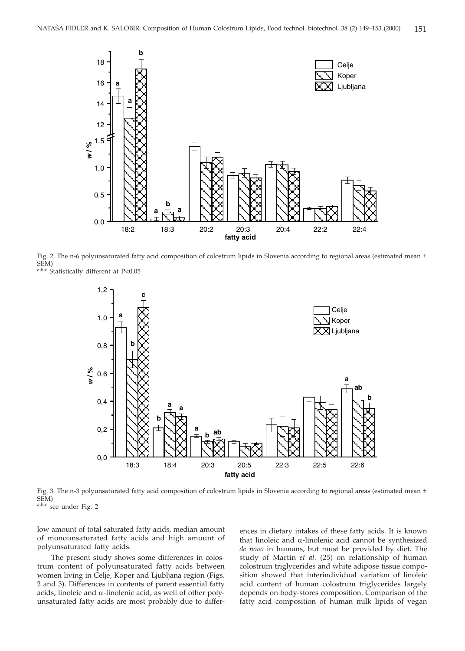

Fig. 2. The n-6 polyunsaturated fatty acid composition of colostrum lipids in Slovenia according to regional areas (estimated mean  $\pm$ SEM)

a,b,c Statistically different at P<0.05



Fig. 3. The n-3 polyunsaturated fatty acid composition of colostrum lipids in Slovenia according to regional areas (estimated mean  $\pm$ SEM)

a,b,c see under Fig. 2

low amount of total saturated fatty acids, median amount of monounsaturated fatty acids and high amount of polyunsaturated fatty acids.

The present study shows some differences in colostrum content of polyunsaturated fatty acids between women living in Celje, Koper and Ljubljana region (Figs. 2 and 3). Differences in contents of parent essential fatty acids, linoleic and  $\alpha$ -linolenic acid, as well of other polyunsaturated fatty acids are most probably due to differences in dietary intakes of these fatty acids. It is known that linoleic and  $\alpha$ -linolenic acid cannot be synthesized *de novo* in humans, but must be provided by diet. The study of Martin *et al.* (*25*) on relationship of human colostrum triglycerides and white adipose tissue composition showed that interindividual variation of linoleic acid content of human colostrum triglycerides largely depends on body-stores composition. Comparison of the fatty acid composition of human milk lipids of vegan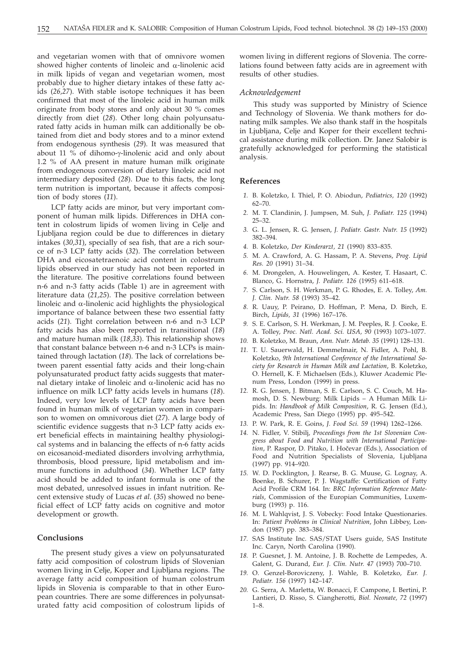and vegetarian women with that of omnivore women showed higher contents of linoleic and  $\alpha$ -linolenic acid in milk lipids of vegan and vegetarian women, most probably due to higher dietary intakes of these fatty acids (*26,27*). With stable isotope techniques it has been confirmed that most of the linoleic acid in human milk originate from body stores and only about 30 % comes directly from diet (*28*). Other long chain polyunsaturated fatty acids in human milk can additionally be obtained from diet and body stores and to a minor extend from endogenous synthesis (*29*). It was measured that about 11  $%$  of dihomo- $\gamma$ -linolenic acid and only about 1.2 % of AA present in mature human milk originate from endogenous conversion of dietary linoleic acid not intermediary deposited (*28*). Due to this facts, the long term nutrition is important, because it affects composition of body stores (*11*).

LCP fatty acids are minor, but very important component of human milk lipids. Differences in DHA content in colostrum lipids of women living in Celje and Ljubljana region could be due to differences in dietary intakes (*30,31*), specially of sea fish, that are a rich source of n-3 LCP fatty acids (*32*). The correlation between DHA and eicosatetraenoic acid content in colostrum lipids observed in our study has not been reported in the literature. The positive correlations found between n-6 and n-3 fatty acids (Table 1) are in agreement with literature data (*21,25*). The positive correlation between linoleic and  $\alpha$ -linolenic acid highlights the physiological importance of balance between these two essential fatty acids (*21*). Tight correlation between n-6 and n-3 LCP fatty acids has also been reported in transitional (*18*) and mature human milk (*18,33*). This relationship shows that constant balance between n-6 and n-3 LCPs is maintained through lactation (*18*). The lack of correlations between parent essential fatty acids and their long-chain polyunsaturated product fatty acids suggests that maternal dietary intake of linoleic and  $\alpha$ -linolenic acid has no influence on milk LCP fatty acids levels in humans (*18*). Indeed, very low levels of LCP fatty acids have been found in human milk of vegetarian women in comparison to women on omnivorous diet (*27*). A large body of scientific evidence suggests that n-3 LCP fatty acids exert beneficial effects in maintaining healthy physiological systems and in balancing the effects of n-6 fatty acids on eicosanoid-mediated disorders involving arrhythmia, thrombosis, blood pressure, lipid metabolism and immune functions in adulthood (*34*). Whether LCP fatty acid should be added to infant formula is one of the most debated, unresolved issues in infant nutrition. Recent extensive study of Lucas *et al*. (*35*) showed no beneficial effect of LCP fatty acids on cognitive and motor development or growth.

## **Conclusions**

The present study gives a view on polyunsaturated fatty acid composition of colostrum lipids of Slovenian women living in Celje, Koper and Ljubljana regions. The average fatty acid composition of human colostrum lipids in Slovenia is comparable to that in other European countries. There are some differences in polyunsaturated fatty acid composition of colostrum lipids of women living in different regions of Slovenia. The correlations found between fatty acids are in agreement with results of other studies.

#### *Acknowledgement*

This study was supported by Ministry of Science and Technology of Slovenia. We thank mothers for donating milk samples. We also thank staff in the hospitals in Ljubljana, Celje and Koper for their excellent technical assistance during milk collection. Dr. Janez Salobir is gratefully acknowledged for performing the statistical analysis.

## **References**

- *1.* B. Koletzko, I. Thiel, P. O. Abiodun, *Pediatrics, 120* (1992) 62–70.
- *2.* M. T. Clandinin, J. Jumpsen, M. Suh, *J. Pediatr. 125* (1994) 25–32.
- *3.* G. L. Jensen, R. G. Jensen, *J. Pediatr. Gastr. Nutr. 15* (1992) 382–394.
- *4.* B. Koletzko, *Der Kinderarzt, 21* (1990) 833–835.
- *5.* M. A. Crawford, A. G. Hassam, P. A. Stevens, *Prog. Lipid Res. 20* (1991) 31–34.
- *6.* M. Drongelen, A. Houwelingen, A. Kester, T. Hasaart, C. Blanco, G. Hornstra, *J. Pediatr. 126* (1995) 611–618.
- *7.* S. Carlson, S. H. Werkman, P. G. Rhodes, E. A. Tolley, *Am. J. Clin. Nutr. 58* (1993) 35–42.
- *8.* R. Uauy, P. Peirano, D. Hoffman, P. Mena, D. Birch, E. Birch, *Lipids, 31* (1996) 167–176.
- *9.* S. E. Carlson, S. H. Werkman, J. M. Peeples, R. J. Cooke, E. A. Tolley, *Proc. Natl. Acad. Sci. USA, 90* (1993) 1073–1077.
- *10.* B. Koletzko, M. Braun, *Ann. Nutr. Metab. 35* (1991) 128–131.
- *11.* T. U. Sauerwald, H. Demmelmair, N. Fidler, A. Pohl, B. Koletzko, *9th International Conference of the International Society for Research in Human Milk and Lactation*, B. Koletzko, O. Hernell, K. F. Michaelsen (Eds.), Kluwer Academic Plenum Press, London (1999) in press.
- *12.* R. G. Jensen, J. Bitman, S. E. Carlson, S. C. Couch, M. Hamosh, D. S. Newburg: Milk Lipids – A Human Milk Lipids. In: *Handbook of Milk Composition*, R. G. Jensen (Ed.), Academic Press, San Diego (1995) pp. 495–542.
- *13.* P. W. Park, R. E. Goins, *J. Food Sci. 59* (1994) 1262–1266.
- *14.* N. Fidler, V. Stibilj, *Proceedings from the 1st Slovenian Congress about Food and Nutrition with International Participa*tion, P. Raspor, D. Pitako, I. Hočevar (Eds.), Association of Food and Nutrition Specialists of Slovenia, Ljubljana (1997) pp. 914–920.
- *15.* W. D. Pocklington, J. Rearse, B. G. Muuse, G. Lognay, A. Boenke, B. Schurer, P. J. Wagstaffe: Certification of Fatty Acid Profile CRM 164. In: *BRC Information Reference Materials,* Commission of the Europian Communities, Luxemburg (1993) p. 116.
- *16.* M. L Wahlqvist, J. S. Vobecky: Food Intake Questionaries. In: *Patient Problems in Clinical Nutrition*, John Libbey, London (1987) pp. 383–384.
- *17.* SAS Institute Inc. SAS/STAT Users guide, SAS Institute Inc. Caryn, North Carolina (1990).
- *18.* P. Guesnet, J. M. Antoine, J. B. Rochette de Lempedes, A. Galent, G. Durand, *Eur. J. Clin. Nutr. 47* (1993) 700–710.
- *19.* O. Genzel-Boroviczeny, J. Wahle, B. Koletzko, *Eur. J. Pediatr. 156* (1997) 142–147.
- *20.* G. Serra, A. Marletta, W. Bonacci, F. Campone, I. Bertini, P. Lantieri, D. Risso, S. Ciangherotti, *Biol. Neonate, 72* (1997) 1–8.